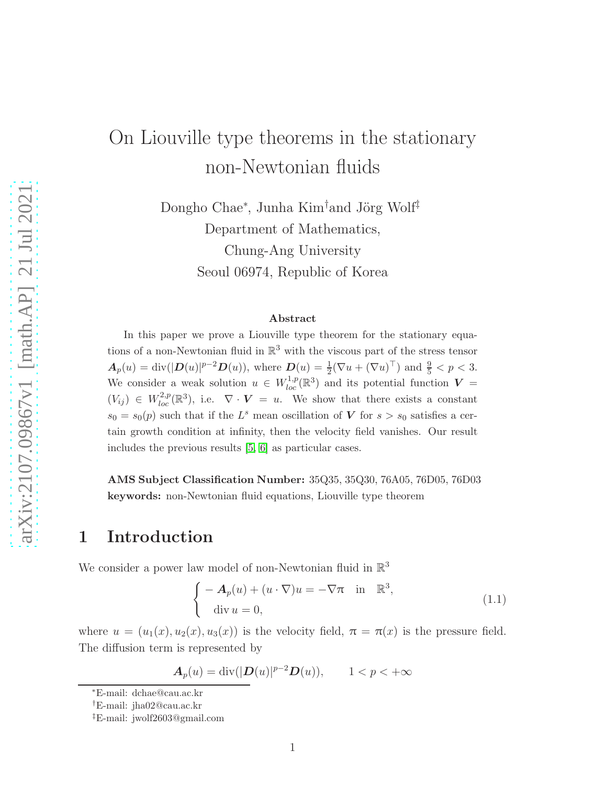# On Liouville type theorems in the stationary non-Newtonian fluids

Dongho Chae<sup>∗</sup>, Junha Kim<sup>†</sup>and Jörg Wolf<sup>‡</sup> Department of Mathematics, Chung-Ang University Seoul 06974, Republic of Korea

#### Abstract

In this paper we prove a Liouville type theorem for the stationary equations of a non-Newtonian fluid in  $\mathbb{R}^3$  with the viscous part of the stress tensor  $A_p(u) = \text{div}(|D(u)|^{p-2}D(u)),$  where  $D(u) = \frac{1}{2}(\nabla u + (\nabla u)^{\top})$  and  $\frac{9}{5} < p < 3.$ We consider a weak solution  $u \in W^{1,p}_{loc}(\mathbb{R}^3)$  and its potential function  $V =$  $(V_{ij}) \in W_{loc}^{2,p}(\mathbb{R}^3)$ , i.e.  $\nabla \cdot \mathbf{V} = u$ . We show that there exists a constant  $s_0 = s_0(p)$  such that if the  $L^s$  mean oscillation of V for  $s > s_0$  satisfies a certain growth condition at infinity, then the velocity field vanishes. Our result includes the previous results [\[5,](#page-15-0) [6\]](#page-15-1) as particular cases.

AMS Subject Classification Number: 35Q35, 35Q30, 76A05, 76D05, 76D03 keywords: non-Newtonian fluid equations, Liouville type theorem

### 1 Introduction

We consider a power law model of non-Newtonian fluid in  $\mathbb{R}^3$ 

<span id="page-0-0"></span>
$$
\begin{cases}\n-A_p(u) + (u \cdot \nabla)u = -\nabla \pi & \text{in } \mathbb{R}^3, \\
\text{div } u = 0,\n\end{cases}
$$
\n(1.1)

where  $u = (u_1(x), u_2(x), u_3(x))$  is the velocity field,  $\pi = \pi(x)$  is the pressure field. The diffusion term is represented by

$$
\boldsymbol{A}_p(u) = \operatorname{div}(|\boldsymbol{D}(u)|^{p-2}\boldsymbol{D}(u)), \qquad 1 < p < +\infty
$$

<sup>∗</sup>E-mail: dchae@cau.ac.kr

<sup>†</sup>E-mail: jha02@cau.ac.kr

<sup>‡</sup>E-mail: jwolf2603@gmail.com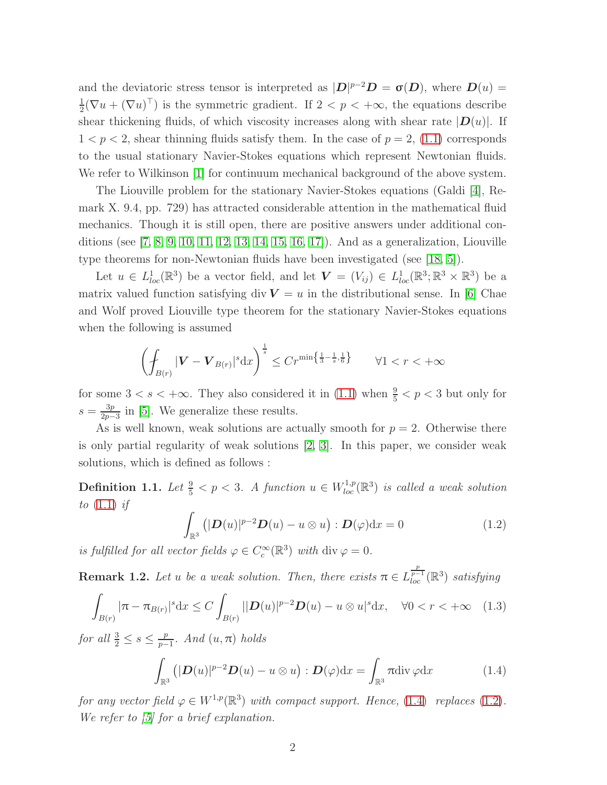and the deviatoric stress tensor is interpreted as  $|\mathbf{D}|^{p-2}\mathbf{D} = \sigma(\mathbf{D})$ , where  $\mathbf{D}(u) =$ 1  $\frac{1}{2}(\nabla u + (\nabla u)^{\top})$  is the symmetric gradient. If  $2 < p < +\infty$ , the equations describe shear thickening fluids, of which viscosity increases along with shear rate  $|D(u)|$ . If  $1 < p < 2$ , shear thinning fluids satisfy them. In the case of  $p = 2$ , [\(1.1\)](#page-0-0) corresponds to the usual stationary Navier-Stokes equations which represent Newtonian fluids. We refer to Wilkinson [\[1\]](#page-14-0) for continuum mechanical background of the above system.

The Liouville problem for the stationary Navier-Stokes equations (Galdi [\[4\]](#page-15-2), Remark X. 9.4, pp. 729) has attracted considerable attention in the mathematical fluid mechanics. Though it is still open, there are positive answers under additional conditions (see [\[7,](#page-15-3) [8,](#page-15-4) [9,](#page-15-5) [10,](#page-15-6) [11,](#page-15-7) [12,](#page-15-8) [13,](#page-15-9) [14,](#page-15-10) [15,](#page-15-11) [16,](#page-15-12) [17\]](#page-16-0)). And as a generalization, Liouville type theorems for non-Newtonian fluids have been investigated (see [\[18,](#page-16-1) [5\]](#page-15-0)).

Let  $u \in L^1_{loc}(\mathbb{R}^3)$  be a vector field, and let  $\mathbf{V} = (V_{ij}) \in L^1_{loc}(\mathbb{R}^3; \mathbb{R}^3 \times \mathbb{R}^3)$  be a matrix valued function satisfying div  $V = u$  in the distributional sense. In [\[6\]](#page-15-1) Chae and Wolf proved Liouville type theorem for the stationary Navier-Stokes equations when the following is assumed

$$
\left(\oint_{B(r)} |\mathbf{V} - \mathbf{V}_{B(r)}|^s \, \mathrm{d}x\right)^{\frac{1}{s}} \le Cr^{\min\left\{\frac{1}{3} - \frac{1}{s}, \frac{1}{6}\right\}} \qquad \forall 1 < r < +\infty
$$

for some  $3 < s < +\infty$ . They also considered it in [\(1.1\)](#page-0-0) when  $\frac{9}{5} < p < 3$  but only for  $s=\frac{3p}{2n-}$  $\frac{3p}{2p-3}$  in [\[5\]](#page-15-0). We generalize these results.

As is well known, weak solutions are actually smooth for  $p = 2$ . Otherwise there is only partial regularity of weak solutions [\[2,](#page-14-1) [3\]](#page-14-2). In this paper, we consider weak solutions, which is defined as follows :

**Definition 1.1.** Let  $\frac{9}{5} < p < 3$ . A function  $u \in W^{1,p}_{loc}(\mathbb{R}^3)$  is called a weak solution *to* [\(1.1\)](#page-0-0) *if*

<span id="page-1-1"></span>
$$
\int_{\mathbb{R}^3} \left( |\mathbf{D}(u)|^{p-2} \mathbf{D}(u) - u \otimes u \right) : \mathbf{D}(\varphi) dx = 0 \tag{1.2}
$$

*is fulfilled for all vector fields*  $\varphi \in C_c^{\infty}(\mathbb{R}^3)$  *with* div  $\varphi = 0$ .

**Remark 1.2.** Let u be a weak solution. Then, there exists  $\pi \in L^{\frac{p}{p-1}}_{loc}(\mathbb{R}^3)$  satisfying

<span id="page-1-2"></span>
$$
\int_{B(r)} |\pi - \pi_{B(r)}|^s dx \le C \int_{B(r)} |D(u)|^{p-2} D(u) - u \otimes u|^s dx, \quad \forall 0 < r < +\infty \quad (1.3)
$$

*for all*  $\frac{3}{2} \leq s \leq \frac{p}{p-1}$ p−1 *. And* (u, π) *holds*

<span id="page-1-0"></span>
$$
\int_{\mathbb{R}^3} (|\mathbf{D}(u)|^{p-2} \mathbf{D}(u) - u \otimes u) : \mathbf{D}(\varphi) dx = \int_{\mathbb{R}^3} \pi \mathrm{div} \, \varphi dx \tag{1.4}
$$

*for any vector field*  $\varphi \in W^{1,p}(\mathbb{R}^3)$  *with compact support. Hence,* [\(1.4\)](#page-1-0) *replaces* [\(1.2\)](#page-1-1)*. We refer to [\[5\]](#page-15-0) for a brief explanation.*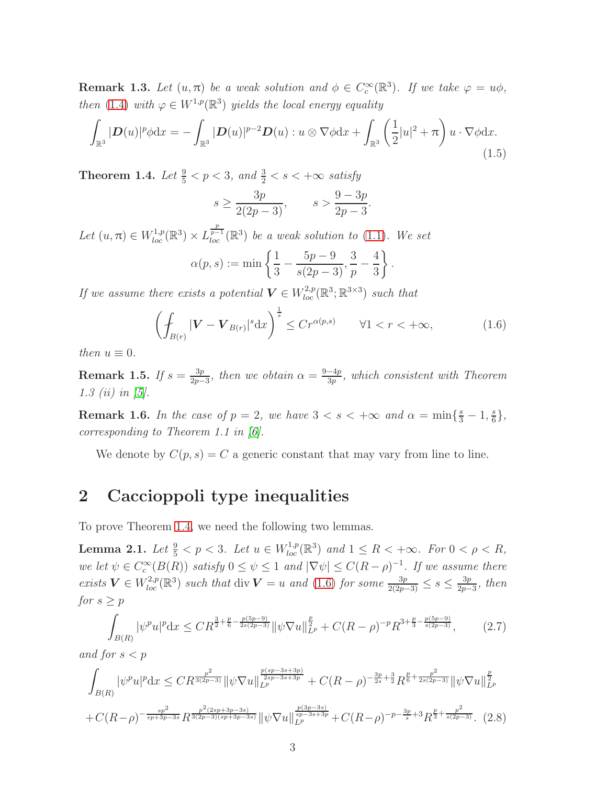**Remark 1.3.** Let  $(u, \pi)$  be a weak solution and  $\phi \in C_c^{\infty}(\mathbb{R}^3)$ . If we take  $\varphi = u\phi$ , *then* [\(1.4\)](#page-1-0) *with*  $\varphi \in W^{1,p}(\mathbb{R}^3)$  *yields the local energy equality* 

<span id="page-2-4"></span>
$$
\int_{\mathbb{R}^3} |\mathbf{D}(u)|^p \phi \mathrm{d}x = -\int_{\mathbb{R}^3} |\mathbf{D}(u)|^{p-2} \mathbf{D}(u) : u \otimes \nabla \phi \mathrm{d}x + \int_{\mathbb{R}^3} \left(\frac{1}{2}|u|^2 + \pi\right) u \cdot \nabla \phi \mathrm{d}x.
$$
\n(1.5)

<span id="page-2-0"></span>Theorem 1.4. *Let*  $\frac{9}{5} < p < 3$ , and  $\frac{3}{2} < s < +\infty$  satisfy

$$
s \ge \frac{3p}{2(2p-3)},
$$
  $s > \frac{9-3p}{2p-3}.$ 

Let  $(u, \pi) \in W^{1,p}_{loc}(\mathbb{R}^3) \times L^{\frac{p}{p-1}}_{loc}(\mathbb{R}^3)$  be a weak solution to [\(1.1\)](#page-0-0). We set  $\alpha(p,s) := \min \left\{\frac{1}{2}\right\}$ 3 −  $5p-9$  $rac{5p-9}{s(2p-3)}, \frac{3}{p}$ p − 4 3  $\mathcal{L}$ .

*If we assume there exists a potential*  $V \in W^{2,p}_{loc}(\mathbb{R}^3; \mathbb{R}^{3 \times 3})$  *such that* 

<span id="page-2-1"></span>
$$
\left(\oint_{B(r)} |\mathbf{V} - \mathbf{V}_{B(r)}|^s \mathrm{d}x\right)^{\frac{1}{s}} \le Cr^{\alpha(p,s)} \qquad \forall 1 < r < +\infty,\tag{1.6}
$$

*then*  $u \equiv 0$ *.* 

**Remark 1.5.** *If*  $s = \frac{3p}{2p-1}$  $\frac{3p}{2p-3}$ *, then we obtain*  $\alpha = \frac{9-4p}{3p}$  $\frac{-4p}{3p}$ , which consistent with Theorem *1.3 (ii) in [\[5\]](#page-15-0).*

**Remark 1.6.** In the case of  $p = 2$ , we have  $3 < s < +\infty$  and  $\alpha = \min\{\frac{s}{3} - 1, \frac{s}{6}\}$  $\frac{s}{6}$ , *corresponding to Theorem 1.1 in [\[6\]](#page-15-1).*

We denote by  $C(p, s) = C$  a generic constant that may vary from line to line.

### 2 Caccioppoli type inequalities

To prove Theorem [1.4,](#page-2-0) we need the following two lemmas.

<span id="page-2-3"></span>**Lemma 2.1.** Let  $\frac{9}{5} < p < 3$ . Let  $u \in W^{1,p}_{loc}(\mathbb{R}^3)$  and  $1 \leq R < +\infty$ . For  $0 < \rho < R$ , *we let*  $\psi \in C_c^{\infty}(B(R))$  *satisfy*  $0 \le \psi \le 1$  *and*  $|\nabla \psi| \le C(R - \rho)^{-1}$ *. If we assume there exists*  $V$  ∈  $W^{2,p}_{loc}(\mathbb{R}^3)$  *such that* div  $V = u$  *and* [\(1.6\)](#page-2-1) *for some*  $\frac{3p}{2(2p-3)} \leq s \leq \frac{3p}{2p-3}$  $rac{3p}{2p-3}$ *, then for*  $s \geq p$ 

<span id="page-2-2"></span>
$$
\int_{B(R)} |\psi^p u|^p dx \le C R^{\frac{3}{2} + \frac{p}{6} - \frac{p(5p-9)}{2s(2p-3)}} \|\psi \nabla u\|_{L^p}^{\frac{p}{2}} + C(R-\rho)^{-p} R^{3 + \frac{p}{3} - \frac{p(5p-9)}{s(2p-3)}},\tag{2.7}
$$

*and for*  $s < p$ 

<span id="page-2-5"></span>
$$
\int_{B(R)} |\psi^p u|^p dx \leq C R^{\frac{p^2}{3(2p-3)}} \|\psi \nabla u\|_{L^p}^{\frac{p(sp-3s+3p)}{2sp-3s+3p}} + C(R-\rho)^{-\frac{3p}{2s}+\frac{3}{2}} R^{\frac{p}{6}+\frac{p^2}{2s(2p-3)}} \|\psi \nabla u\|_{L^p}^{\frac{p}{2}}
$$
  
+
$$
C(R-\rho)^{-\frac{sp^2}{sp+3p-3s}} R^{\frac{p^2(2sp+3p-3s)}{3(2p-3)(sp+3p-3s)}} \|\psi \nabla u\|_{L^p}^{\frac{p(3p-3s)}{sp-3s+3p}} + C(R-\rho)^{-p-\frac{3p}{s}+3} R^{\frac{p}{3}+\frac{p^2}{s(2p-3)}}. (2.8)
$$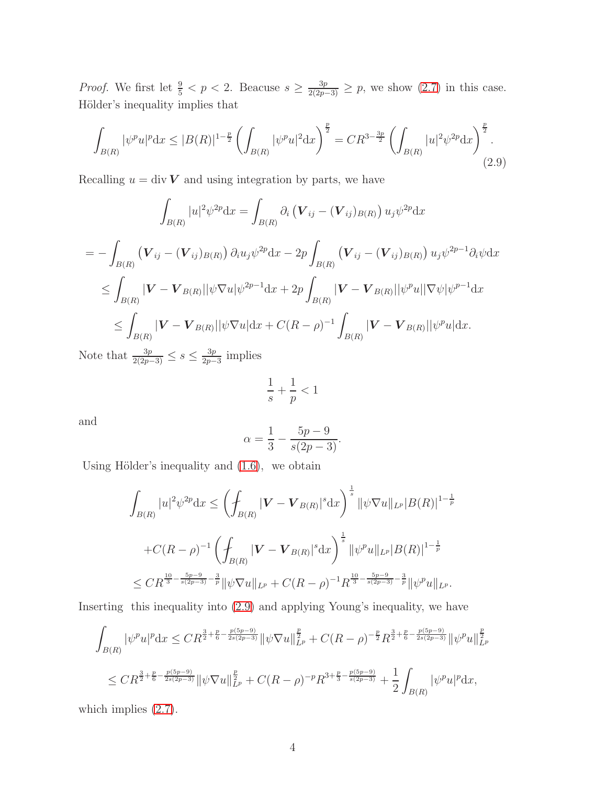*Proof.* We first let  $\frac{9}{5} < p < 2$ . Beacuse  $s \geq \frac{3p}{2(2p-3)} \geq p$ , we show  $(2.7)$  in this case. Hölder's inequality implies that

<span id="page-3-0"></span>
$$
\int_{B(R)} |\psi^p u|^p dx \le |B(R)|^{1-\frac{p}{2}} \left( \int_{B(R)} |\psi^p u|^2 dx \right)^{\frac{p}{2}} = C R^{3-\frac{3p}{2}} \left( \int_{B(R)} |u|^2 \psi^{2p} dx \right)^{\frac{p}{2}}.
$$
\n(2.9)

Recalling  $u = \text{div } V$  and using integration by parts, we have

$$
\int_{B(R)} |u|^2 \psi^{2p} dx = \int_{B(R)} \partial_i \left( \mathbf{V}_{ij} - (\mathbf{V}_{ij})_{B(R)} \right) u_j \psi^{2p} dx
$$
\n
$$
= - \int_{B(R)} \left( \mathbf{V}_{ij} - (\mathbf{V}_{ij})_{B(R)} \right) \partial_i u_j \psi^{2p} dx - 2p \int_{B(R)} \left( \mathbf{V}_{ij} - (\mathbf{V}_{ij})_{B(R)} \right) u_j \psi^{2p-1} \partial_i \psi dx
$$
\n
$$
\leq \int_{B(R)} |\mathbf{V} - \mathbf{V}_{B(R)}| |\psi \nabla u| \psi^{2p-1} dx + 2p \int_{B(R)} |\mathbf{V} - \mathbf{V}_{B(R)}| |\psi^p u| |\nabla \psi| \psi^{p-1} dx
$$
\n
$$
\leq \int_{B(R)} |\mathbf{V} - \mathbf{V}_{B(R)}| |\psi \nabla u| dx + C(R - \rho)^{-1} \int_{B(R)} |\mathbf{V} - \mathbf{V}_{B(R)}| |\psi^p u| dx.
$$

Note that  $\frac{3p}{2(2p-3)} \leq s \leq \frac{3p}{2p-3}$  $rac{3p}{2p-3}$  implies

$$
\frac{1}{s} + \frac{1}{p} < 1
$$

and

$$
\alpha = \frac{1}{3} - \frac{5p - 9}{s(2p - 3)}.
$$

Using Hölder's inequality and  $(1.6)$ , we obtain

$$
\int_{B(R)} |u|^2 \psi^{2p} dx \le \left( \int_{B(R)} |\mathbf{V} - \mathbf{V}_{B(R)}|^s dx \right)^{\frac{1}{s}} \| \psi \nabla u \|_{L^p} |B(R)|^{1 - \frac{1}{p}}
$$
  
+ $C(R - \rho)^{-1} \left( \int_{B(R)} |\mathbf{V} - \mathbf{V}_{B(R)}|^s dx \right)^{\frac{1}{s}} \| \psi^p u \|_{L^p} |B(R)|^{1 - \frac{1}{p}}$   
 $\le CR^{\frac{10}{3} - \frac{5p - 9}{s(2p - 3)} - \frac{3}{p}} \| \psi \nabla u \|_{L^p} + C(R - \rho)^{-1} R^{\frac{10}{3} - \frac{5p - 9}{s(2p - 3)} - \frac{3}{p}} \| \psi^p u \|_{L^p}.$ 

Inserting this inequality into [\(2.9\)](#page-3-0) and applying Young's inequality, we have

$$
\int_{B(R)} |\psi^p u|^p dx \leq C R^{\frac{3}{2} + \frac{p}{6} - \frac{p(5p - 9)}{2s(2p - 3)}} \|\psi \nabla u\|_{L^p}^{\frac{p}{2}} + C(R - \rho)^{-\frac{p}{2}} R^{\frac{3}{2} + \frac{p}{6} - \frac{p(5p - 9)}{2s(2p - 3)}} \|\psi^p u\|_{L^p}^{\frac{p}{2}}
$$
  

$$
\leq C R^{\frac{3}{2} + \frac{p}{6} - \frac{p(5p - 9)}{2s(2p - 3)}} \|\psi \nabla u\|_{L^p}^{\frac{p}{2}} + C(R - \rho)^{-p} R^{3 + \frac{p}{3} - \frac{p(5p - 9)}{s(2p - 3)}} + \frac{1}{2} \int_{B(R)} |\psi^p u|^p dx,
$$

which implies  $(2.7)$ .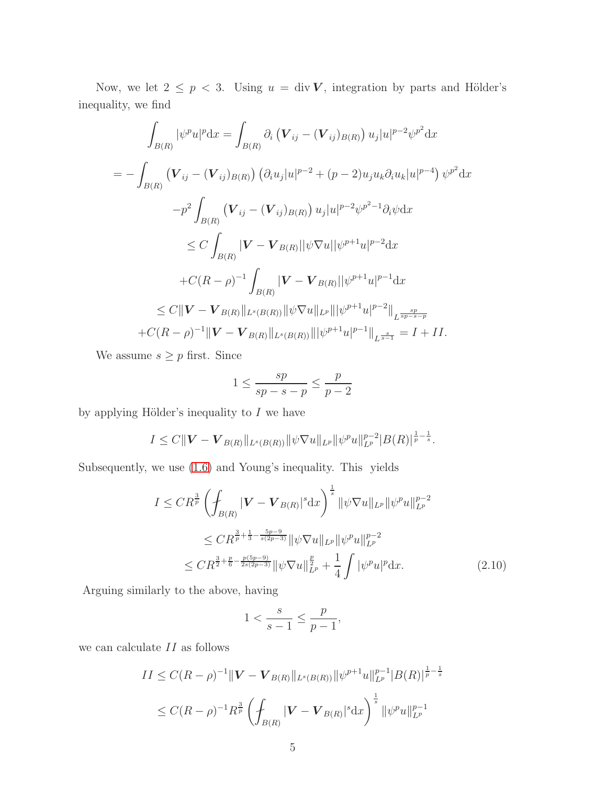Now, we let  $2 \le p < 3$ . Using  $u = \text{div } V$ , integration by parts and Hölder's inequality, we find

$$
\int_{B(R)} |\psi^{p} u|^{p} dx = \int_{B(R)} \partial_{i} (\mathbf{V}_{ij} - (\mathbf{V}_{ij})_{B(R)}) u_{j} |u|^{p-2} \psi^{p^{2}} dx
$$
\n
$$
= - \int_{B(R)} (\mathbf{V}_{ij} - (\mathbf{V}_{ij})_{B(R)}) (\partial_{i} u_{j} |u|^{p-2} + (p-2) u_{j} u_{k} \partial_{i} u_{k} |u|^{p-4}) \psi^{p^{2}} dx
$$
\n
$$
- p^{2} \int_{B(R)} (\mathbf{V}_{ij} - (\mathbf{V}_{ij})_{B(R)}) u_{j} |u|^{p-2} \psi^{p^{2}-1} \partial_{i} \psi dx
$$
\n
$$
\leq C \int_{B(R)} |\mathbf{V} - \mathbf{V}_{B(R)}| |\psi \nabla u| |\psi^{p+1} u|^{p-2} dx
$$
\n
$$
+ C(R - \rho)^{-1} \int_{B(R)} |\mathbf{V} - \mathbf{V}_{B(R)}| |\psi^{p+1} u|^{p-1} dx
$$
\n
$$
\leq C \|\mathbf{V} - \mathbf{V}_{B(R)}\|_{L^{s}(B(R))} \|\psi \nabla u\|_{L^{p}} \|\psi^{p+1} u|^{p-2} \|_{L^{\frac{sp}{sp-s-p}}} + C(R - \rho)^{-1} \|\mathbf{V} - \mathbf{V}_{B(R)}\|_{L^{s}(B(R))} \|\psi^{p+1} u|^{p-1} \|_{L^{\frac{s}{s-1}}} = I + II.
$$

We assume  $s \geq p$  first. Since

$$
1 \le \frac{sp}{sp-s-p} \le \frac{p}{p-2}
$$

by applying Hölder's inequality to  $I$  we have

$$
I \leq C \|\mathbf{V} - \mathbf{V}_{B(R)}\|_{L^s(B(R))} \|\psi \nabla u\|_{L^p} \|\psi^p u\|_{L^p}^{p-2} |B(R)|^{\frac{1}{p}-\frac{1}{s}}.
$$

Subsequently, we use [\(1.6\)](#page-2-1) and Young's inequality. This yields

<span id="page-4-0"></span>
$$
I \leq CR^{\frac{3}{p}} \left( \oint_{B(R)} |\mathbf{V} - \mathbf{V}_{B(R)}|^s \mathrm{d}x \right)^{\frac{1}{s}} \|\psi \nabla u\|_{L^p} \|\psi^p u\|_{L^p}^{p-2}
$$
  
\n
$$
\leq CR^{\frac{3}{p} + \frac{1}{3} - \frac{5p - 9}{s(2p - 3)}} \|\psi \nabla u\|_{L^p} \|\psi^p u\|_{L^p}^{p-2}
$$
  
\n
$$
\leq CR^{\frac{3}{2} + \frac{p}{6} - \frac{p(5p - 9)}{2s(2p - 3)}} \|\psi \nabla u\|_{L^p}^{\frac{p}{2}} + \frac{1}{4} \int |\psi^p u|^p \mathrm{d}x. \tag{2.10}
$$

Arguing similarly to the above, having

$$
1 < \frac{s}{s-1} \le \frac{p}{p-1},
$$

we can calculate  $II$  as follows

$$
II \le C(R - \rho)^{-1} \|\mathbf{V} - \mathbf{V}_{B(R)}\|_{L^s(B(R))} \|\psi^{p+1}u\|_{L^p}^{p-1} |B(R)|^{\frac{1}{p} - \frac{1}{s}}
$$
  

$$
\le C(R - \rho)^{-1} R^{\frac{3}{p}} \left( \int_{B(R)} |\mathbf{V} - \mathbf{V}_{B(R)}|^s dx \right)^{\frac{1}{s}} \|\psi^p u\|_{L^p}^{p-1}
$$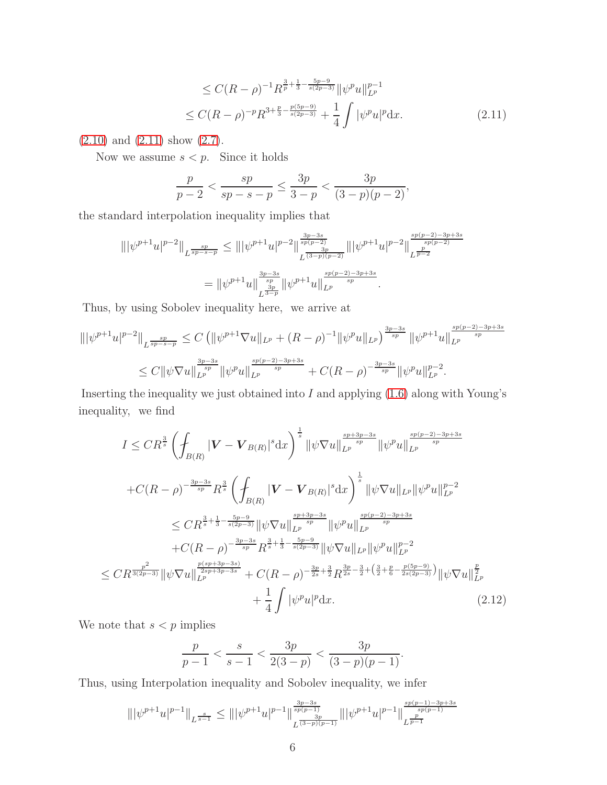<span id="page-5-0"></span>
$$
\leq C(R-\rho)^{-1}R^{\frac{3}{p}+\frac{1}{3}-\frac{5p-9}{s(2p-3)}}\|\psi^pu\|_{L^p}^{p-1}
$$
  

$$
\leq C(R-\rho)^{-p}R^{3+\frac{p}{3}-\frac{p(5p-9)}{s(2p-3)}}+\frac{1}{4}\int |\psi^pu|^p\mathrm{d}x.
$$
 (2.11)

[\(2.10\)](#page-4-0) and [\(2.11\)](#page-5-0) show [\(2.7\)](#page-2-2).

Now we assume  $s < p$ . Since it holds

$$
\frac{p}{p-2} < \frac{sp}{sp-s-p} \le \frac{3p}{3-p} < \frac{3p}{(3-p)(p-2)},
$$

the standard interpolation inequality implies that

$$
\begin{split} \||\psi^{p+1}u|^{p-2}\|_{L^{\frac{sp}{sp-s-p}}} &\leq \||\psi^{p+1}u|^{p-2}\|_{L^{\frac{3p-3s}{(3-p)(p-2)}}}^{\frac{3p-3s}{sp(p-2)}}\||\psi^{p+1}u|^{p-2}\|_{L^{\frac{sp(p-2)-3p+3s}{p(p-2)}}}^{\frac{sp(p-2)-3p+3s}{sp(p-2)}}\\ &= \|\psi^{p+1}u\|_{L^{\frac{3p}{3-p}}}\| \psi^{p+1}u\|_{L^p}^{\frac{sp(p-2)-3p+3s}{sp}}. \end{split}
$$

Thus, by using Sobolev inequality here, we arrive at

$$
\| |\psi^{p+1} u|^{p-2} \|_{L^{\frac{sp}{sp-s-p}}} \leq C \left( \| \psi^{p+1} \nabla u \|_{L^p} + (R - \rho)^{-1} \| \psi^p u \|_{L^p} \right)^{\frac{3p-3s}{sp}} \| \psi^{p+1} u \|_{L^p}^{\frac{sp(p-2)-3p+3s}{sp}} \leq C \| \psi \nabla u \|_{L^p}^{\frac{3p-3s}{sp}} \| \psi^p u \|_{L^p}^{\frac{sp(p-2)-3p+3s}{sp}} + C(R - \rho)^{-\frac{3p-3s}{sp}} \| \psi^p u \|_{L^p}^{p-2}.
$$

Inserting the inequality we just obtained into  $I$  and applying  $(1.6)$  along with Young's inequality, we find

$$
I \leq CR^{\frac{3}{s}} \left( \int_{B(R)} |\mathbf{V} - \mathbf{V}_{B(R)}|^{s} dx \right)^{\frac{1}{s}} \|\psi \nabla u\|_{L^{p}}^{\frac{sp+3p-3s}{sp}} \|\psi^{p} u\|_{L^{p}}^{\frac{sp(p-2)-3p+3s}{sp}} + C(R - \rho)^{-\frac{3p-3s}{sp}} R^{\frac{3}{s}} \left( \int_{B(R)} |\mathbf{V} - \mathbf{V}_{B(R)}|^{s} dx \right)^{\frac{1}{s}} \|\psi \nabla u\|_{L^{p}} \|\psi^{p} u\|_{L^{p}}^{p-2} \n\leq CR^{\frac{3}{s} + \frac{1}{3} - \frac{5p-9}{s(2p-3)}} \|\psi \nabla u\|_{L^{p}}^{\frac{sp+3p-3s}{sp}} \|\psi^{p} u\|_{L^{p}}^{\frac{sp(p-2)-3p+3s}{sp}} + C(R - \rho)^{-\frac{3p-3s}{sp}} R^{\frac{3}{s} + \frac{1}{3} - \frac{5p-9}{s(2p-3)}} \|\psi \nabla u\|_{L^{p}} \|\psi^{p} u\|_{L^{p}}^{p-2} \n\leq CR^{\frac{p^{2}}{3(2p-3)}} \|\psi \nabla u\|_{L^{p}}^{\frac{p(sp+3p-3s)}{2sp+3p-3s}} + C(R - \rho)^{-\frac{3p}{2s} + \frac{3}{2}} R^{\frac{3p}{2s} - \frac{3}{2} + (\frac{3}{2} + \frac{p}{6} - \frac{p(5p-9)}{2s(2p-3)})} \|\psi \nabla u\|_{L^{p}}^{\frac{p}{2}} + \frac{1}{4} \int |\psi^{p} u|^{p} dx.
$$
\n(2.12)

We note that  $s < p$  implies

<span id="page-5-1"></span>
$$
\frac{p}{p-1} < \frac{s}{s-1} < \frac{3p}{2(3-p)} < \frac{3p}{(3-p)(p-1)}.
$$

Thus, using Interpolation inequality and Sobolev inequality, we infer

$$
\||\psi^{p+1}u|^{p-1}\|_{L^{\frac{s}{s-1}}}\leq \||\psi^{p+1}u|^{p-1}\|_{L^{\frac{3p-3s}{(3-p)(p-1)}}}^{\frac{3p-3s}{sp(p-1)}}\||\psi^{p+1}u|^{p-1}\|_{L^{\frac{p}{p-1}}}^{\frac{sp(p-1)-3p+3s}{sp(p-1)}}
$$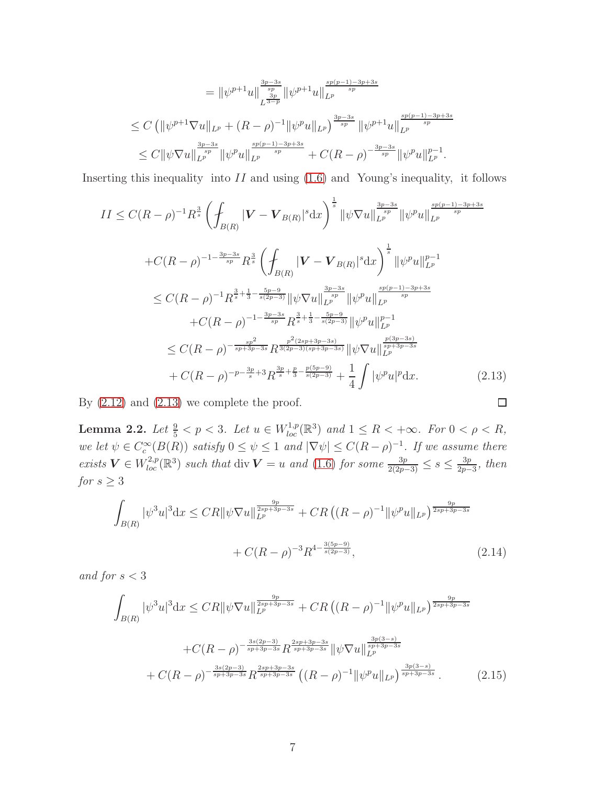$$
= \|\psi^{p+1}u\|_{L^{\frac{3p}{p}}}^{\frac{3p-3s}{sp}} \|\psi^{p+1}u\|_{L^p}^{\frac{sp(p-1)-3p+3s}{sp}} \n\leq C \left( \|\psi^{p+1}\nabla u\|_{L^p} + (R-\rho)^{-1} \|\psi^p u\|_{L^p} \right)^{\frac{3p-3s}{sp}} \|\psi^{p+1}u\|_{L^p}^{\frac{sp(p-1)-3p+3s}{sp}} \n\leq C \|\psi \nabla u\|_{L^p}^{\frac{3p-3s}{sp}} \|\psi^p u\|_{L^p}^{\frac{sp(p-1)-3p+3s}{sp}} + C(R-\rho)^{-\frac{3p-3s}{sp}} \|\psi^p u\|_{L^p}^{p-1}.
$$

Inserting this inequality into  $II$  and using  $(1.6)$  and Young's inequality, it follows

$$
II \leq C(R-\rho)^{-1} R^{\frac{3}{s}} \left( \int_{B(R)} |\mathbf{V} - \mathbf{V}_{B(R)}|^{s} dx \right)^{\frac{1}{s}} ||\psi \nabla u||_{L^{p}}^{\frac{3p-3s}{sp}} ||\psi^{p} u||_{L^{p}}^{\frac{sp(p-1)-3p+3s}{sp}} + C(R-\rho)^{-1-\frac{3p-3s}{sp}} R^{\frac{3}{s}} \left( \int_{B(R)} |\mathbf{V} - \mathbf{V}_{B(R)}|^{s} dx \right)^{\frac{1}{s}} ||\psi^{p} u||_{L^{p}}^{p-1} \n\leq C(R-\rho)^{-1} R^{\frac{3}{s}+\frac{1}{3}-\frac{5p-9}{s(2p-3)}} ||\psi \nabla u||_{L^{p}}^{\frac{3p-3s}{sp}} ||\psi^{p} u||_{L^{p}}^{\frac{sp(p-1)-3p+3s}{sp}} + C(R-\rho)^{-1-\frac{3p-3s}{sp}} R^{\frac{3}{s}+\frac{1}{3}-\frac{5p-9}{s(2p-3)}} ||\psi^{p} u||_{L^{p}}^{p-1} \n\leq C(R-\rho)^{-\frac{sp^{2}}{sp+3p-3s}} R^{\frac{p^{2}(2sp+3p-3s)}{3(2p-3)(sp+3p-3s)}} ||\psi \nabla u||_{L^{p}}^{\frac{p(3p-3s)}{sp+3p-3s}} + C(R-\rho)^{-p-\frac{3p}{s}+3} R^{\frac{3p}{s}+\frac{p}{3}-\frac{p(5p-9)}{s(2p-3)}} + \frac{1}{4} \int |\psi^{p} u|^{p} dx.
$$
\n(2.13)

<span id="page-6-0"></span>By  $(2.12)$  and  $(2.13)$  we complete the proof.

<span id="page-6-2"></span>**Lemma 2.2.** Let  $\frac{9}{5} < p < 3$ . Let  $u \in W^{1,p}_{loc}(\mathbb{R}^3)$  and  $1 \leq R < +\infty$ . For  $0 < \rho < R$ , *we let*  $\psi \in C_c^{\infty}(B(R))$  *satisfy*  $0 \le \psi \le 1$  *and*  $|\nabla \psi| \le C(R - \rho)^{-1}$ *. If we assume there exists*  $V$  ∈  $W^{2,p}_{loc}(\mathbb{R}^3)$  *such that* div  $V = u$  *and* [\(1.6\)](#page-2-1) *for some*  $\frac{3p}{2(2p-3)}$  ≤ *s* ≤  $\frac{3p}{2p-3}$  $\frac{3p}{2p-3}$ *, then for*  $s \geq 3$ 

<span id="page-6-1"></span>
$$
\int_{B(R)} |\psi^3 u|^3 dx \leq C R ||\psi \nabla u||_{L^p}^{\frac{9p}{2sp+3p-3s}} + C R \left( (R-\rho)^{-1} ||\psi^p u||_{L^p} \right)^{\frac{9p}{2sp+3p-3s}} \n+ C(R-\rho)^{-3} R^{4-\frac{3(5p-9)}{s(2p-3)}},
$$
\n(2.14)

 $\Box$ 

*and for*  $s < 3$ 

<span id="page-6-3"></span>
$$
\int_{B(R)} |\psi^3 u|^3 dx \leq C R ||\psi \nabla u||_{L^p}^{\frac{9p}{2sp+3p-3s}} + C R \left( (R - \rho)^{-1} ||\psi^p u||_{L^p} \right)^{\frac{9p}{2sp+3p-3s}} \n+ C (R - \rho)^{-\frac{3s(2p-3)}{sp+3p-3s}} R^{\frac{2sp+3p-3s}{sp+3p-3s}} ||\psi \nabla u||_{L^p}^{\frac{3p(3-s)}{sp+3p-3s}} \n+ C (R - \rho)^{-\frac{3s(2p-3)}{sp+3p-3s}} R^{\frac{2sp+3p-3s}{sp+3p-3s}} \left( (R - \rho)^{-1} ||\psi^p u||_{L^p} \right)^{\frac{3p(3-s)}{sp+3p-3s}}.
$$
\n(2.15)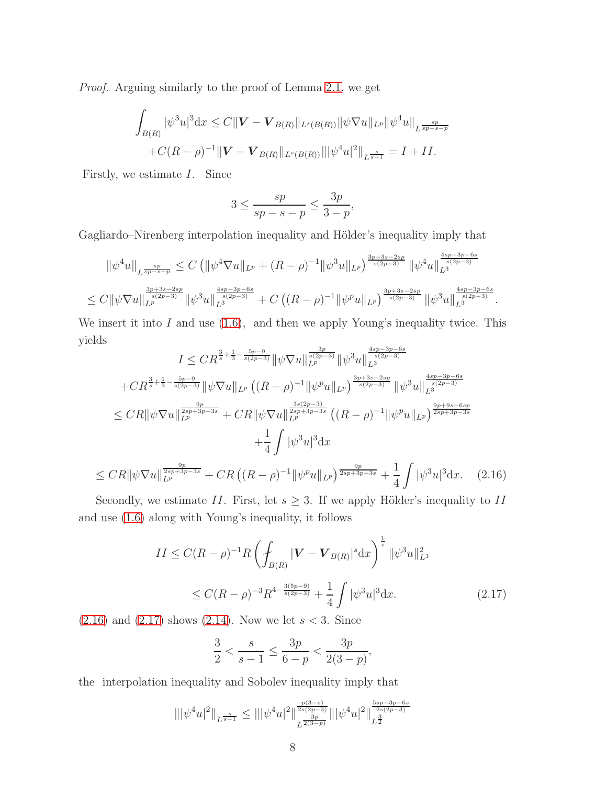*Proof.* Arguing similarly to the proof of Lemma [2.1,](#page-2-3) we get

$$
\int_{B(R)} |\psi^3 u|^3 dx \le C ||\mathbf{V} - \mathbf{V}_{B(R)}||_{L^s(B(R))} ||\psi \nabla u||_{L^p} ||\psi^4 u||_{L^{\frac{sp}{sp-s-p}}} + C(R-\rho)^{-1} ||\mathbf{V} - \mathbf{V}_{B(R)}||_{L^s(B(R))} |||\psi^4 u|^2||_{L^{\frac{s}{s-1}}} = I + II.
$$

Firstly, we estimate I. Since

$$
3\leq \frac{sp}{sp-s-p}\leq \frac{3p}{3-p},
$$

Gagliardo–Nirenberg interpolation inequality and Hölder's inequality imply that

$$
\|\psi^4 u\|_{L^{\frac{sp}{sp-s-p}}} \leq C \left( \|\psi^4 \nabla u\|_{L^p} + (R-\rho)^{-1} \|\psi^3 u\|_{L^p} \right)^{\frac{3p+3s-2sp}{s(2p-3)}} \|\psi^4 u\|_{L^3}^{\frac{4sp-3p-6s}{s(2p-3)}} \leq C \|\psi \nabla u\|_{L^p}^{\frac{3p+3s-2sp}{s(2p-3)}} \|\psi^3 u\|_{L^3}^{\frac{4sp-3p-6s}{s(2p-3)}} + C \left( (R-\rho)^{-1} \|\psi^p u\|_{L^p} \right)^{\frac{3p+3s-2sp}{s(2p-3)}} \|\psi^3 u\|_{L^3}^{\frac{4sp-3p-6s}{s(2p-3)}}.
$$

We insert it into  $I$  and use  $(1.6)$ , and then we apply Young's inequality twice. This yields  $\overline{2}$  $4sp-3p-6s$ 

$$
I \leq CR^{\frac{3}{s} + \frac{1}{3} - \frac{5p-9}{s(2p-3)}} \|\psi \nabla u\|_{L^{p}}^{\frac{3p}{s(2p-3)}} \|\psi^{3} u\|_{L^{3}}^{\frac{4sp-3p-6s}{s(2p-3)}}
$$
  
+
$$
CR^{\frac{3}{s} + \frac{1}{3} - \frac{5p-9}{s(2p-3)}} \|\psi \nabla u\|_{L^{p}} \left( (R - \rho)^{-1} \|\psi^{p} u\|_{L^{p}} \right)^{\frac{3p+3s-2sp}{s(2p-3)}} \|\psi^{3} u\|_{L^{3}}^{\frac{4sp-3p-6s}{s(2p-3)}}
$$
  

$$
\leq CR \|\psi \nabla u\|_{L^{p}}^{\frac{9p}{2sp+3p-3s}} + CR \|\psi \nabla u\|_{L^{p}}^{\frac{3s(2p-3)}{2sp+3p-3s}} \left( (R - \rho)^{-1} \|\psi^{p} u\|_{L^{p}} \right)^{\frac{9p+9s-6sp}{2sp+3p-3s}}
$$
  
+
$$
\frac{1}{4} \int |\psi^{3} u|^{3} dx
$$
  

$$
\leq CR \|\psi \nabla u\|_{L^{p}}^{\frac{9p}{2sp+3p-3s}} + CR \left( (R - \rho)^{-1} \|\psi^{p} u\|_{L^{p}} \right)^{\frac{9p}{2sp+3p-3s}} + \frac{1}{4} \int |\psi^{3} u|^{3} dx. \quad (2.16)
$$

<span id="page-7-0"></span>Secondly, we estimate II. First, let  $s \geq 3$ . If we apply Hölder's inequality to II and use [\(1.6\)](#page-2-1) along with Young's inequality, it follows

$$
II \le C(R - \rho)^{-1} R \left( \int_{B(R)} |\mathbf{V} - \mathbf{V}_{B(R)}|^{s} dx \right)^{\frac{1}{s}} ||\psi^{3} u||_{L^{3}}^{2}
$$
  
 
$$
\le C(R - \rho)^{-3} R^{4 - \frac{3(5p - 9)}{s(2p - 3)}} + \frac{1}{4} \int |\psi^{3} u|^{3} dx.
$$
 (2.17)

 $(2.16)$  and  $(2.17)$  shows  $(2.14)$ . Now we let  $s < 3$ . Since

<span id="page-7-1"></span>
$$
\frac{3}{2} < \frac{s}{s-1} \le \frac{3p}{6-p} < \frac{3p}{2(3-p)},
$$

the interpolation inequality and Sobolev inequality imply that

$$
\||\psi^4 u|^2\|_{L^{\frac{s}{s-1}}} \leq \||\psi^4 u|^2\|_{L^{\frac{2s(2p-3)}{2s(2p-3)}}}^{\frac{p(3-s)}{2s(2p-3)}} \||\psi^4 u|^2\|_{L^{\frac{3}{2}}}^{\frac{5sp-3p-6s}{2s(2p-3)}}
$$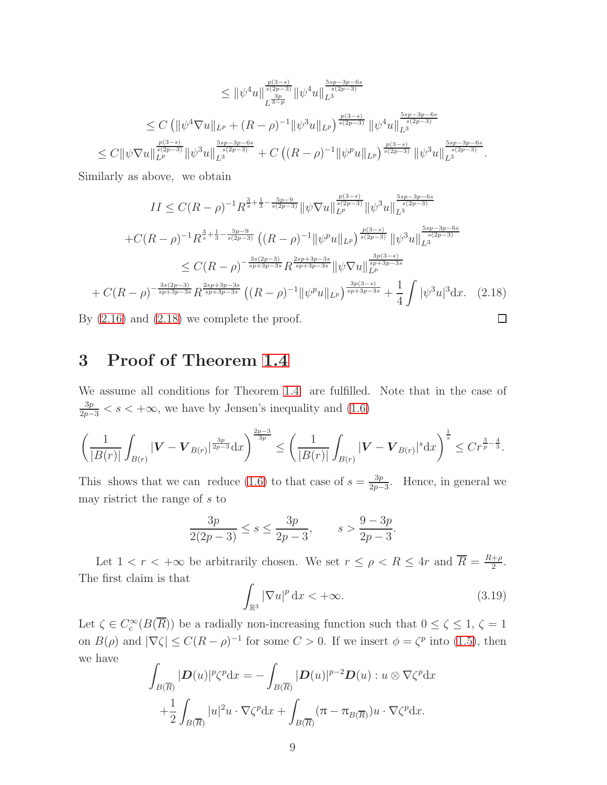$$
\leq \|\psi^4 u\|_{L^{\frac{3p}{s(2p-3)}}}^{\frac{p(3-s)}{s(2p-3)}} \|\psi^4 u\|_{L^3}^{\frac{5sp-3p-6s}{s(2p-3)}} \n\leq C \left( \|\psi^4 \nabla u\|_{L^p} + (R-\rho)^{-1} \|\psi^3 u\|_{L^p} \right)^{\frac{p(3-s)}{s(2p-3)}} \|\psi^4 u\|_{L^3}^{\frac{5sp-3p-6s}{s(2p-3)}} \n\leq C \|\psi \nabla u\|_{L^p}^{\frac{p(3-s)}{s(2p-3)}} \|\psi^3 u\|_{L^3}^{\frac{5sp-3p-6s}{s(2p-3)}} + C \left( (R-\rho)^{-1} \|\psi^p u\|_{L^p} \right)^{\frac{p(3-s)}{s(2p-3)}} \|\psi^3 u\|_{L^3}^{\frac{5sp-3p-6s}{s(2p-3)}}.
$$

Similarly as above, we obtain

$$
II \leq C(R-\rho)^{-1} R^{\frac{3}{s}+\frac{1}{3}-\frac{5p-9}{s(2p-3)}} \|\psi \nabla u\|_{L^{p}}^{\frac{p(3-s)}{s(2p-3)}} \|\psi^{3} u\|_{L^{3}}^{\frac{5sp-3p-6s}{s(2p-3)}}
$$
  
+
$$
C(R-\rho)^{-1} R^{\frac{3}{s}+\frac{1}{3}-\frac{5p-9}{s(2p-3)}} \left( (R-\rho)^{-1} \|\psi^{p} u\|_{L^{p}} \right)^{\frac{p(3-s)}{s(2p-3)}} \|\psi^{3} u\|_{L^{3}}^{\frac{5sp-3p-6s}{s(2p-3)}}
$$
  

$$
\leq C(R-\rho)^{-\frac{3s(2p-3)}{sp+3p-3s}} R^{\frac{2sp+3p-3s}{sp+3p-3s}} \|\psi \nabla u\|_{L^{p}}^{\frac{3p(3-s)}{sp+3p-3s}}
$$
  
+
$$
C(R-\rho)^{-\frac{3s(2p-3)}{sp+3p-3s}} R^{\frac{2sp+3p-3s}{sp+3p-3s}} \left( (R-\rho)^{-1} \|\psi^{p} u\|_{L^{p}} \right)^{\frac{3p(3-s)}{sp+3p-3s}} + \frac{1}{4} \int |\psi^{3} u|^{3} dx. \quad (2.18)
$$
  
(2.16) and (2.18) we complete the proof.

<span id="page-8-0"></span>By [\(2.16\)](#page-7-0) and [\(2.18\)](#page-8-0) we complete the proof.

## 3 Proof of Theorem [1.4](#page-2-0)

We assume all conditions for Theorem [1.4](#page-2-0) are fulfilled. Note that in the case of  $\frac{3p}{2p-3} < s < +\infty$ , we have by Jensen's inequality and [\(1.6\)](#page-2-1)

$$
\left(\frac{1}{|B(r)|}\int_{B(r)}|\mathbf{V}-\mathbf{V}_{B(r)}|^{\frac{3p}{2p-3}}\mathrm{d}x\right)^{\frac{2p-3}{3p}} \leq \left(\frac{1}{|B(r)|}\int_{B(r)}|\mathbf{V}-\mathbf{V}_{B(r)}|^s\mathrm{d}x\right)^{\frac{1}{s}} \leq Cr^{\frac{3}{p}-\frac{4}{3}}.
$$

This shows that we can reduce [\(1.6\)](#page-2-1) to that case of  $s = \frac{3p}{2p-1}$  $\frac{3p}{2p-3}$ . Hence, in general we may ristrict the range of s to

$$
\frac{3p}{2(2p-3)} \le s \le \frac{3p}{2p-3}, \qquad s > \frac{9-3p}{2p-3}.
$$

Let  $1 < r < +\infty$  be arbitrarily chosen. We set  $r \leq \rho < R \leq 4r$  and  $\overline{R} = \frac{R+\rho}{2}$  $rac{+\rho}{2}$ . The first claim is that

<span id="page-8-1"></span>
$$
\int_{\mathbb{R}^3} |\nabla u|^p \, \mathrm{d}x < +\infty. \tag{3.19}
$$

Let  $\zeta \in C_c^{\infty}(B(\overline{R}))$  be a radially non-increasing function such that  $0 \le \zeta \le 1$ ,  $\zeta = 1$ on  $B(\rho)$  and  $|\nabla \zeta| \leq C(R - \rho)^{-1}$  for some  $C > 0$ . If we insert  $\phi = \zeta^p$  into [\(1.5\)](#page-2-4), then we have

$$
\int_{B(\overline{R})} |D(u)|^p \zeta^p dx = -\int_{B(\overline{R})} |D(u)|^{p-2} D(u) : u \otimes \nabla \zeta^p dx \n+ \frac{1}{2} \int_{B(\overline{R})} |u|^2 u \cdot \nabla \zeta^p dx + \int_{B(\overline{R})} (\pi - \pi_{B(\overline{R})}) u \cdot \nabla \zeta^p dx.
$$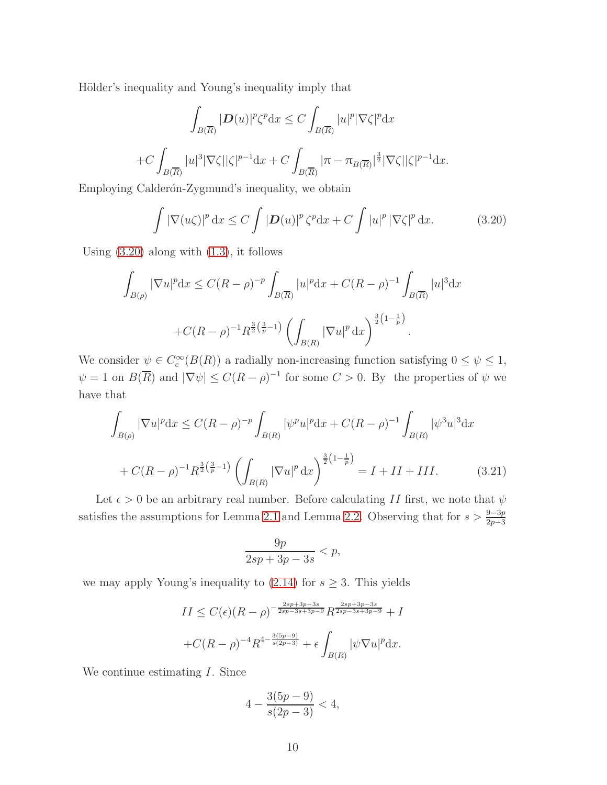Hölder's inequality and Young's inequality imply that

$$
\int_{B(\overline{R})} |\mathbf{D}(u)|^p \zeta^p dx \le C \int_{B(\overline{R})} |u|^p |\nabla \zeta|^p dx
$$
  
+
$$
+ C \int_{B(\overline{R})} |u|^3 |\nabla \zeta| |\zeta|^{p-1} dx + C \int_{B(\overline{R})} |\pi - \pi_{B(\overline{R})}|^{\frac{3}{2}} |\nabla \zeta| |\zeta|^{p-1} dx.
$$

Employing Calderón-Zygmund's inequality, we obtain

<span id="page-9-0"></span>
$$
\int |\nabla(u\zeta)|^p dx \le C \int |\mathbf{D}(u)|^p \zeta^p dx + C \int |u|^p |\nabla \zeta|^p dx.
$$
 (3.20)

Using  $(3.20)$  along with  $(1.3)$ , it follows

$$
\int_{B(\rho)} |\nabla u|^p dx \le C(R-\rho)^{-p} \int_{B(\overline{R})} |u|^p dx + C(R-\rho)^{-1} \int_{B(\overline{R})} |u|^3 dx
$$
  
+C(R-\rho)^{-1} R^{\frac{3}{2}(\frac{3}{p}-1)} \left( \int\_{B(R)} |\nabla u|^p dx \right)^{\frac{3}{2}(1-\frac{1}{p})}.

We consider  $\psi \in C_c^{\infty}(B(R))$  a radially non-increasing function satisfying  $0 \le \psi \le 1$ ,  $\psi = 1$  on  $B(\overline{R})$  and  $|\nabla \psi| \le C(R - \rho)^{-1}$  for some  $C > 0$ . By the properties of  $\psi$  we have that

$$
\int_{B(\rho)} |\nabla u|^p dx \le C(R-\rho)^{-p} \int_{B(R)} |\psi^p u|^p dx + C(R-\rho)^{-1} \int_{B(R)} |\psi^3 u|^3 dx
$$
  
+  $C(R-\rho)^{-1} R^{\frac{3}{2}(\frac{3}{p}-1)} \left( \int_{B(R)} |\nabla u|^p dx \right)^{\frac{3}{2}(1-\frac{1}{p})} = I + II + III.$  (3.21)

<span id="page-9-1"></span>Let  $\epsilon > 0$  be an arbitrary real number. Before calculating II first, we note that  $\psi$ satisfies the assumptions for Lemma [2.1](#page-2-3) and Lemma [2.2.](#page-6-2) Observing that for  $s > \frac{9-3p}{2p-3}$ 

$$
\frac{9p}{2sp + 3p - 3s} < p,
$$

we may apply Young's inequality to  $(2.14)$  for  $s \geq 3$ . This yields

$$
II \leq C(\epsilon)(R-\rho)^{-\frac{2sp+3p-3s}{2sp-3s+3p-9}}R^{\frac{2sp+3p-3s}{2sp-3s+3p-9}} + I
$$
  
+
$$
+C(R-\rho)^{-4}R^{4-\frac{3(5p-9)}{s(2p-3)}} + \epsilon \int_{B(R)} |\psi \nabla u|^p \,dx.
$$

We continue estimating *I*. Since

$$
4 - \frac{3(5p - 9)}{s(2p - 3)} < 4,
$$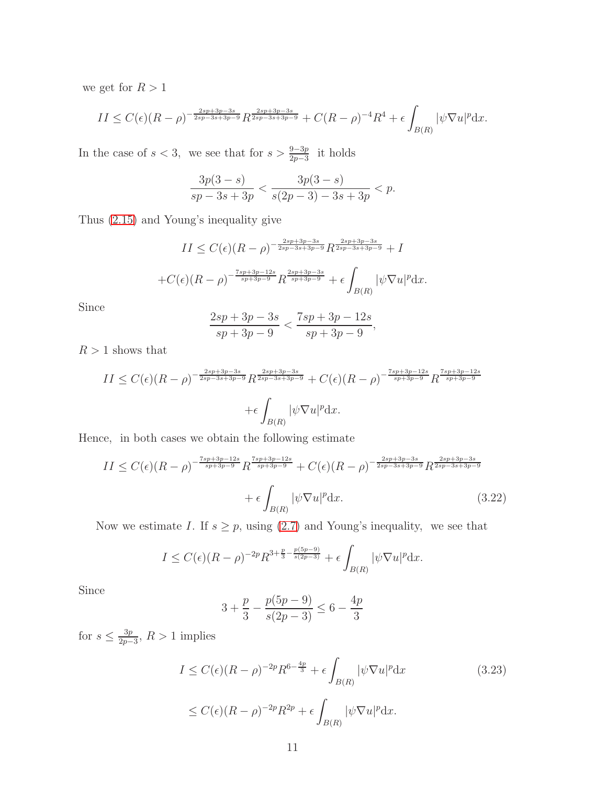we get for  $R>1$ 

$$
II \leq C(\epsilon)(R-\rho)^{-\frac{2sp+3p-3s}{2sp-3s+3p-9}} R^{\frac{2sp+3p-3s}{2sp-3s+3p-9}} + C(R-\rho)^{-4}R^4 + \epsilon \int_{B(R)} |\psi \nabla u|^p dx.
$$

In the case of  $s < 3$ , we see that for  $s > \frac{9-3p}{2p-3}$  it holds

$$
\frac{3p(3-s)}{sp-3s+3p} < \frac{3p(3-s)}{s(2p-3)-3s+3p} < p.
$$

Thus [\(2.15\)](#page-6-3) and Young's inequality give

$$
II \le C(\epsilon)(R-\rho)^{-\frac{2sp+3p-3s}{2sp-3s+3p-9}} R^{\frac{2sp+3p-3s}{2sp-3s+3p-9}} + I
$$
  
+ $C(\epsilon)(R-\rho)^{-\frac{7sp+3p-12s}{sp+3p-9}} R^{\frac{2sp+3p-3s}{sp+3p-9}} + \epsilon \int_{B(R)} |\psi \nabla u|^p dx.$ 

Since

$$
\frac{2sp + 3p - 3s}{sp + 3p - 9} < \frac{7sp + 3p - 12s}{sp + 3p - 9},
$$

 $R>1$  shows that

$$
II \le C(\epsilon)(R-\rho)^{-\frac{2sp+3p-3s}{2sp-3s+3p-9}} R^{\frac{2sp+3p-3s}{2sp-3s+3p-9}} + C(\epsilon)(R-\rho)^{-\frac{7sp+3p-12s}{sp+3p-9}} R^{\frac{7sp+3p-12s}{sp+3p-9}}
$$

$$
+ \epsilon \int_{B(R)} |\psi \nabla u|^p dx.
$$

Hence, in both cases we obtain the following estimate

$$
II \leq C(\epsilon)(R-\rho)^{-\frac{7sp+3p-12s}{sp+3p-9}} R^{\frac{7sp+3p-12s}{sp+3p-9}} + C(\epsilon)(R-\rho)^{-\frac{2sp+3p-3s}{2sp-3s+3p-9}} R^{\frac{2sp+3p-3s}{2sp-3s+3p-9}} + \epsilon \int_{B(R)} |\psi \nabla u|^p dx.
$$
\n(3.22)

Now we estimate I. If  $s \geq p$ , using [\(2.7\)](#page-2-2) and Young's inequality, we see that

<span id="page-10-0"></span>
$$
I \le C(\epsilon)(R-\rho)^{-2p} R^{3+\frac{p}{3}-\frac{p(5p-9)}{s(2p-3)}} + \epsilon \int_{B(R)} |\psi \nabla u|^p \mathrm{d}x.
$$

Since

$$
3 + \frac{p}{3} - \frac{p(5p - 9)}{s(2p - 3)} \le 6 - \frac{4p}{3}
$$

for  $s \leq \frac{3p}{2p-1}$  $\frac{3p}{2p-3}$ ,  $R>1$  implies

<span id="page-10-1"></span>
$$
I \le C(\epsilon)(R-\rho)^{-2p}R^{6-\frac{4p}{3}} + \epsilon \int_{B(R)} |\psi \nabla u|^p dx
$$
\n
$$
\le C(\epsilon)(R-\rho)^{-2p}R^{2p} + \epsilon \int_{B(R)} |\psi \nabla u|^p dx.
$$
\n(3.23)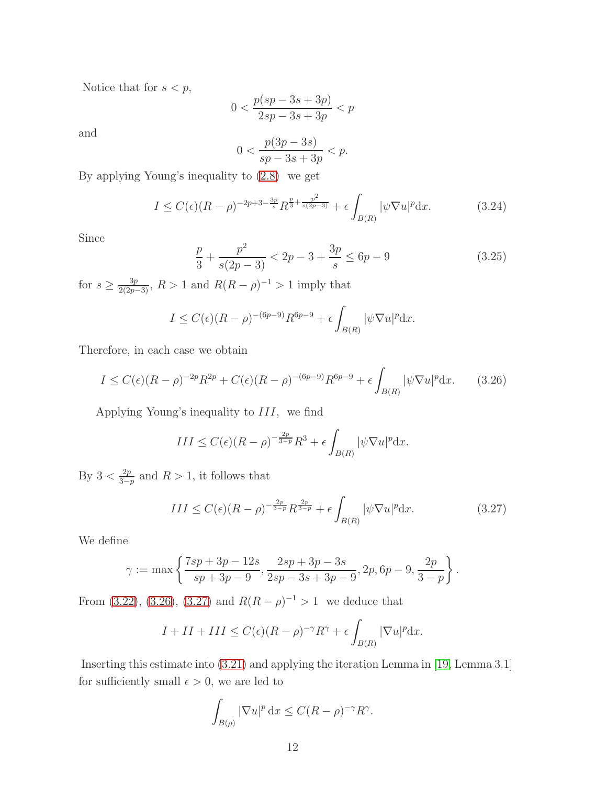Notice that for  $s < p$ ,

$$
0 < \frac{p(sp-3s+3p)}{2sp-3s+3p} < p
$$

and

$$
0 < \frac{p(3p - 3s)}{sp - 3s + 3p} < p.
$$

By applying Young's inequality to [\(2.8\)](#page-2-5) we get

<span id="page-11-2"></span>
$$
I \le C(\epsilon)(R-\rho)^{-2p+3-\frac{3p}{s}} R^{\frac{p}{3}+\frac{p^2}{s(2p-3)}} + \epsilon \int_{B(R)} |\psi \nabla u|^p \mathrm{d}x. \tag{3.24}
$$

Since

<span id="page-11-3"></span>
$$
\frac{p}{3} + \frac{p^2}{s(2p-3)} < 2p - 3 + \frac{3p}{s} \le 6p - 9 \tag{3.25}
$$

for  $s \geq \frac{3p}{2(2p-3)}$ ,  $R > 1$  and  $R(R - \rho)^{-1} > 1$  imply that

$$
I \le C(\epsilon)(R-\rho)^{-(6p-9)}R^{6p-9} + \epsilon \int_{B(R)} |\psi \nabla u|^p \mathrm{d}x.
$$

Therefore, in each case we obtain

<span id="page-11-0"></span>
$$
I \le C(\epsilon)(R-\rho)^{-2p}R^{2p} + C(\epsilon)(R-\rho)^{-(6p-9)}R^{6p-9} + \epsilon \int_{B(R)} |\psi \nabla u|^p \, dx. \tag{3.26}
$$

Applying Young's inequality to  $III$ , we find

$$
III \le C(\epsilon)(R-\rho)^{-\frac{2p}{3-p}}R^3 + \epsilon \int_{B(R)} |\psi \nabla u|^p \mathrm{d}x.
$$

By  $3 < \frac{2p}{3-p}$  $\frac{2p}{3-p}$  and  $R > 1$ , it follows that

<span id="page-11-1"></span>
$$
III \le C(\epsilon)(R - \rho)^{-\frac{2p}{3-p}} R^{\frac{2p}{3-p}} + \epsilon \int_{B(R)} |\psi \nabla u|^p dx.
$$
 (3.27)

We define

$$
\gamma := \max \left\{ \frac{7sp + 3p - 12s}{sp + 3p - 9}, \frac{2sp + 3p - 3s}{2sp - 3s + 3p - 9}, 2p, 6p - 9, \frac{2p}{3 - p} \right\}.
$$

From [\(3.22\)](#page-10-0), [\(3.26\)](#page-11-0), [\(3.27\)](#page-11-1) and  $R(R - \rho)^{-1} > 1$  we deduce that

$$
I + II + III \le C(\epsilon)(R - \rho)^{-\gamma} R^{\gamma} + \epsilon \int_{B(R)} |\nabla u|^p dx.
$$

Inserting this estimate into [\(3.21\)](#page-9-1) and applying the iteration Lemma in [\[19,](#page-16-2) Lemma 3.1] for sufficiently small  $\epsilon > 0$ , we are led to

$$
\int_{B(\rho)} |\nabla u|^p \, \mathrm{d}x \le C(R - \rho)^{-\gamma} R^{\gamma}.
$$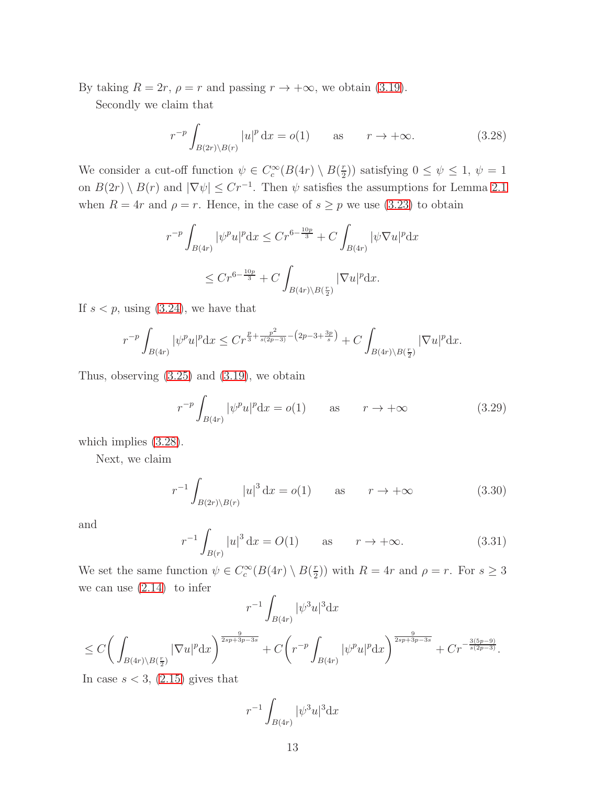By taking  $R = 2r$ ,  $\rho = r$  and passing  $r \to +\infty$ , we obtain [\(3.19\)](#page-8-1).

Secondly we claim that

<span id="page-12-0"></span>
$$
r^{-p} \int_{B(2r)\backslash B(r)} |u|^p \, \mathrm{d}x = o(1) \qquad \text{as} \qquad r \to +\infty. \tag{3.28}
$$

We consider a cut-off function  $\psi \in C_c^{\infty}(B(4r) \setminus B(\frac{r}{2}))$  $(\frac{r}{2})$ ) satisfying  $0 \leq \psi \leq 1$ ,  $\psi = 1$ on  $B(2r) \setminus B(r)$  and  $|\nabla \psi| \leq Cr^{-1}$ . Then  $\psi$  satisfies the assumptions for Lemma [2.1](#page-2-3) when  $R = 4r$  and  $\rho = r$ . Hence, in the case of  $s \geq p$  we use [\(3.23\)](#page-10-1) to obtain

$$
r^{-p} \int_{B(4r)} |\psi^p u|^p dx \le Cr^{6 - \frac{10p}{3}} + C \int_{B(4r)} |\psi \nabla u|^p dx
$$
  

$$
\le Cr^{6 - \frac{10p}{3}} + C \int_{B(4r) \setminus B(\frac{r}{2})} |\nabla u|^p dx.
$$

If  $s < p$ , using  $(3.24)$ , we have that

$$
r^{-p} \int_{B(4r)} |\psi^p u|^p dx \le Cr^{\frac{p}{3} + \frac{p^2}{s(2p-3)} - (2p-3+\frac{3p}{s})} + C \int_{B(4r)\setminus B(\frac{r}{2})} |\nabla u|^p dx.
$$

Thus, observing [\(3.25\)](#page-11-3) and [\(3.19\)](#page-8-1), we obtain

<span id="page-12-1"></span>
$$
r^{-p} \int_{B(4r)} |\psi^p u|^p dx = o(1) \qquad \text{as} \qquad r \to +\infty \tag{3.29}
$$

which implies [\(3.28\)](#page-12-0).

Next, we claim

<span id="page-12-2"></span>
$$
r^{-1} \int_{B(2r)\backslash B(r)} |u|^3 dx = o(1) \qquad \text{as} \qquad r \to +\infty \tag{3.30}
$$

and

<span id="page-12-3"></span>
$$
r^{-1} \int_{B(r)} |u|^3 \, dx = O(1) \qquad \text{as} \qquad r \to +\infty. \tag{3.31}
$$

We set the same function  $\psi \in C_c^{\infty}(B(4r) \setminus B(\frac{r}{2}))$  $\binom{r}{2}$ ) with  $R = 4r$  and  $\rho = r$ . For  $s \geq 3$ we can use  $(2.14)$  to infer

$$
r^{-1} \int_{B(4r)} |\psi^3 u|^3 dx
$$
  
\n
$$
\leq C \bigg( \int_{B(4r)\setminus B(\frac{r}{2})} |\nabla u|^p dx \bigg)^{\frac{9}{2sp+3p-3s}} + C \bigg( r^{-p} \int_{B(4r)} |\psi^p u|^p dx \bigg)^{\frac{9}{2sp+3p-3s}} + C r^{-\frac{3(5p-9)}{s(2p-3)}}.
$$

In case  $s < 3$ ,  $(2.15)$  gives that

$$
r^{-1} \int_{B(4r)} |\psi^3 u|^3 \mathrm{d}x
$$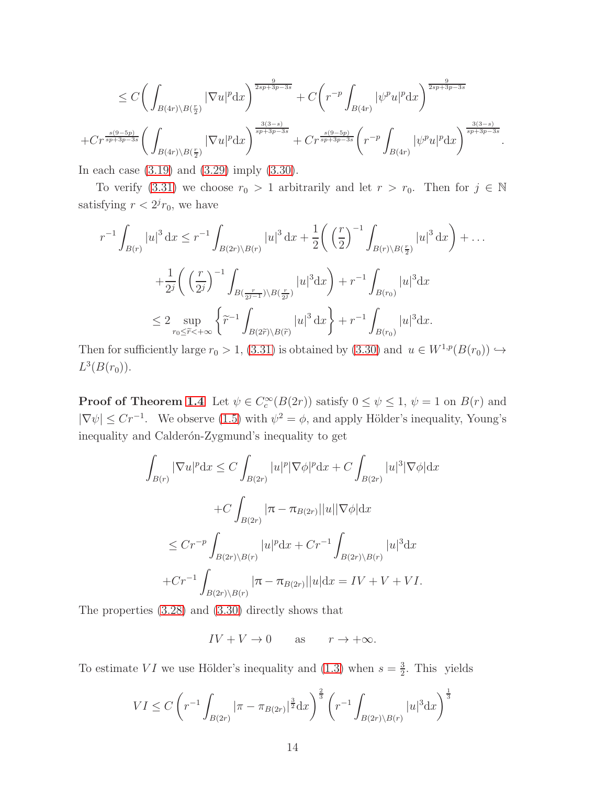$$
\leq C \bigg( \int_{B(4r)\backslash B(\frac{r}{2})} |\nabla u|^p \mathrm{d}x \bigg)^{\frac{9}{2sp+3p-3s}} + C \bigg( r^{-p} \int_{B(4r)} |\psi^p u|^p \mathrm{d}x \bigg)^{\frac{9}{2sp+3p-3s}} \n+ Cr^{\frac{s(9-5p)}{sp+3p-3s}} \bigg( \int_{B(4r)\backslash B(\frac{r}{2})} |\nabla u|^p \mathrm{d}x \bigg)^{\frac{3(3-s)}{sp+3p-3s}} + Cr^{\frac{s(9-5p)}{sp+3p-3s}} \bigg( r^{-p} \int_{B(4r)} |\psi^p u|^p \mathrm{d}x \bigg)^{\frac{3(3-s)}{sp+3p-3s}}.
$$

In each case [\(3.19\)](#page-8-1) and [\(3.29\)](#page-12-1) imply [\(3.30\)](#page-12-2).

To verify [\(3.31\)](#page-12-3) we choose  $r_0 > 1$  arbitrarily and let  $r > r_0$ . Then for  $j \in \mathbb{N}$ satisfying  $r < 2<sup>j</sup>r<sub>0</sub>$ , we have

$$
r^{-1} \int_{B(r)} |u|^3 dx \le r^{-1} \int_{B(2r)\backslash B(r)} |u|^3 dx + \frac{1}{2} \left( \left(\frac{r}{2}\right)^{-1} \int_{B(r)\backslash B(\frac{r}{2})} |u|^3 dx \right) + \dots
$$
  
+ 
$$
\frac{1}{2^j} \left( \left(\frac{r}{2^j}\right)^{-1} \int_{B(\frac{r}{2^{j-1}})\backslash B(\frac{r}{2^j})} |u|^3 dx \right) + r^{-1} \int_{B(r_0)} |u|^3 dx
$$
  

$$
\le 2 \sup_{r_0 \le \tilde{r} < +\infty} \left\{ \tilde{r}^{-1} \int_{B(2\tilde{r})\backslash B(\tilde{r})} |u|^3 dx \right\} + r^{-1} \int_{B(r_0)} |u|^3 dx.
$$

Then for sufficiently large  $r_0 > 1$ , [\(3.31\)](#page-12-3) is obtained by [\(3.30\)](#page-12-2) and  $u \in W^{1,p}(B(r_0)) \hookrightarrow$  $L^3(B(r_0)).$ 

**Proof of Theorem [1.4](#page-2-0)** Let  $\psi \in C_c^{\infty}(B(2r))$  satisfy  $0 \le \psi \le 1$ ,  $\psi = 1$  on  $B(r)$  and  $|\nabla \psi| \leq Cr^{-1}$ . We observe [\(1.5\)](#page-2-4) with  $\psi^2 = \phi$ , and apply Hölder's inequality, Young's inequality and Calderón-Zygmund's inequality to get

$$
\int_{B(r)} |\nabla u|^p dx \le C \int_{B(2r)} |u|^p |\nabla \phi|^p dx + C \int_{B(2r)} |u|^3 |\nabla \phi| dx
$$
  
+
$$
C \int_{B(2r)} |\pi - \pi_{B(2r)}||u|| \nabla \phi| dx
$$
  

$$
\le C r^{-p} \int_{B(2r)\backslash B(r)} |u|^p dx + C r^{-1} \int_{B(2r)\backslash B(r)} |u|^3 dx
$$
  
+
$$
C r^{-1} \int_{B(2r)\backslash B(r)} |\pi - \pi_{B(2r)}||u| dx = IV + V + VI.
$$

The properties [\(3.28\)](#page-12-0) and [\(3.30\)](#page-12-2) directly shows that

 $IV + V \rightarrow 0$  as  $r \rightarrow +\infty$ .

To estimate VI we use Hölder's inequality and [\(1.3\)](#page-1-2) when  $s = \frac{3}{2}$  $\frac{3}{2}$ . This yields

$$
VI \le C \left( r^{-1} \int_{B(2r)} |\pi - \pi_{B(2r)}|^{\frac{3}{2}} dx \right)^{\frac{2}{3}} \left( r^{-1} \int_{B(2r) \setminus B(r)} |u|^3 dx \right)^{\frac{1}{3}}
$$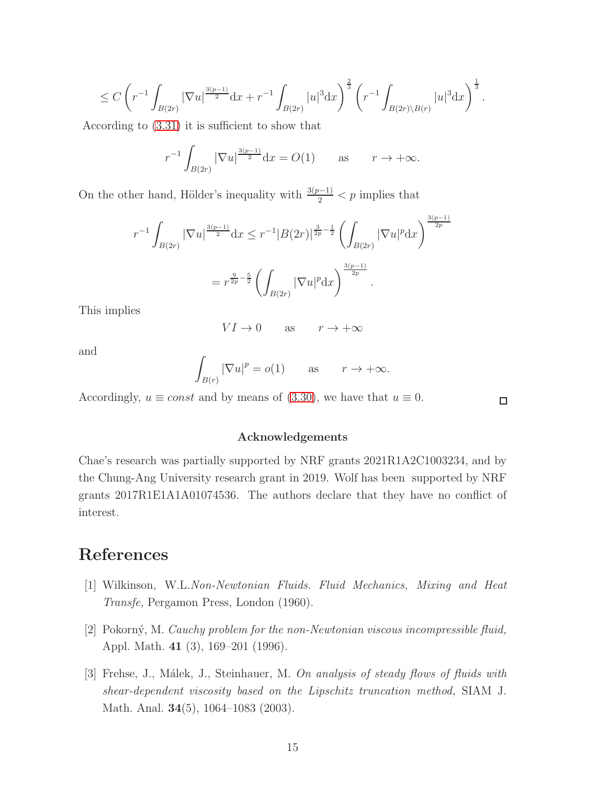$$
\leq C \left( r^{-1} \int_{B(2r)} |\nabla u|^{3(p-1) \over 2} dx + r^{-1} \int_{B(2r)} |u|^3 dx \right)^{2 \over 3} \left( r^{-1} \int_{B(2r) \setminus B(r)} |u|^3 dx \right)^{1 \over 3}.
$$

According to [\(3.31\)](#page-12-3) it is sufficient to show that

$$
r^{-1} \int_{B(2r)} |\nabla u|^{\frac{3(p-1)}{2}} dx = O(1)
$$
 as  $r \to +\infty$ .

On the other hand, Hölder's inequality with  $\frac{3(p-1)}{2} < p$  implies that

$$
r^{-1} \int_{B(2r)} |\nabla u|^{\frac{3(p-1)}{2}} dx \le r^{-1} |B(2r)|^{\frac{3}{2p}-\frac{1}{2}} \left( \int_{B(2r)} |\nabla u|^p dx \right)^{\frac{3(p-1)}{2p}}
$$
  
=  $r^{\frac{9}{2p}-\frac{5}{2}} \left( \int_{B(2r)} |\nabla u|^p dx \right)^{\frac{3(p-1)}{2p}}.$ 

This implies

$$
VI \to 0 \qquad \text{as} \qquad r \to +\infty
$$

and

$$
\int_{B(r)} |\nabla u|^p = o(1) \quad \text{as} \quad r \to +\infty.
$$

Accordingly,  $u \equiv const$  and by means of [\(3.30\)](#page-12-2), we have that  $u \equiv 0$ .

 $\Box$ 

#### Acknowledgements

Chae's research was partially supported by NRF grants 2021R1A2C1003234, and by the Chung-Ang University research grant in 2019. Wolf has been supported by NRF grants 2017R1E1A1A01074536. The authors declare that they have no conflict of interest.

# <span id="page-14-0"></span>References

- <span id="page-14-1"></span>[1] Wilkinson, W.L.*Non-Newtonian Fluids. Fluid Mechanics, Mixing and Heat Transfe,* Pergamon Press, London (1960).
- <span id="page-14-2"></span>[2] Pokorn´y, M. *Cauchy problem for the non-Newtonian viscous incompressible fluid,* Appl. Math. 41 (3), 169–201 (1996).
- [3] Frehse, J., M´alek, J., Steinhauer, M. *On analysis of steady flows of fluids with shear-dependent viscosity based on the Lipschitz truncation method,* SIAM J. Math. Anal. 34(5), 1064–1083 (2003).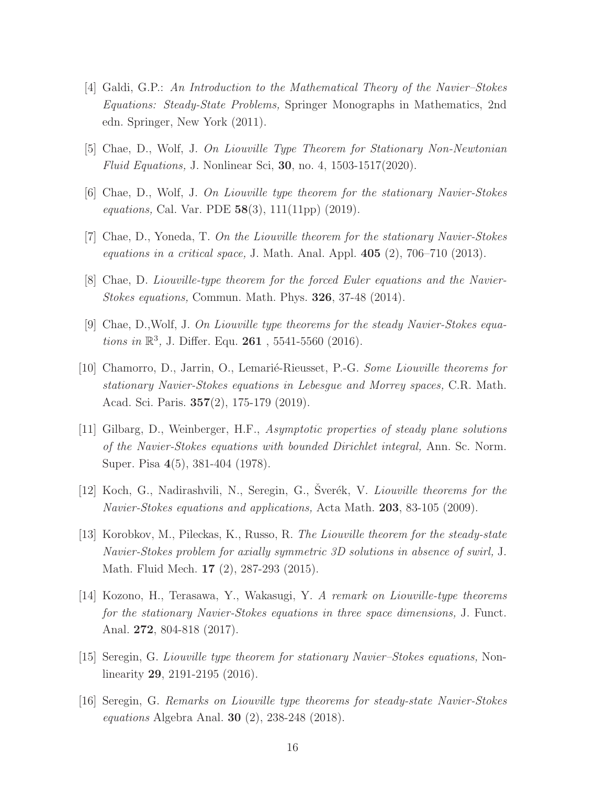- <span id="page-15-2"></span>[4] Galdi, G.P.: *An Introduction to the Mathematical Theory of the Navier–Stokes Equations: Steady-State Problems,* Springer Monographs in Mathematics, 2nd edn. Springer, New York (2011).
- <span id="page-15-1"></span><span id="page-15-0"></span>[5] Chae, D., Wolf, J. *On Liouville Type Theorem for Stationary Non-Newtonian Fluid Equations,* J. Nonlinear Sci, 30, no. 4, 1503-1517(2020).
- <span id="page-15-3"></span>[6] Chae, D., Wolf, J. *On Liouville type theorem for the stationary Navier-Stokes equations,* Cal. Var. PDE 58(3), 111(11pp) (2019).
- <span id="page-15-4"></span>[7] Chae, D., Yoneda, T. *On the Liouville theorem for the stationary Navier-Stokes equations in a critical space,* J. Math. Anal. Appl. 405 (2), 706–710 (2013).
- <span id="page-15-5"></span>[8] Chae, D. *Liouville-type theorem for the forced Euler equations and the Navier-Stokes equations,* Commun. Math. Phys. 326, 37-48 (2014).
- <span id="page-15-6"></span>[9] Chae, D.,Wolf, J. *On Liouville type theorems for the steady Navier-Stokes equations in*  $\mathbb{R}^3$ , J. Differ. Equ. **261**, 5541-5560 (2016).
- [10] Chamorro, D., Jarrin, O., Lemari´e-Rieusset, P.-G. *Some Liouville theorems for stationary Navier-Stokes equations in Lebesgue and Morrey spaces,* C.R. Math. Acad. Sci. Paris. 357(2), 175-179 (2019).
- <span id="page-15-7"></span>[11] Gilbarg, D., Weinberger, H.F., *Asymptotic properties of steady plane solutions of the Navier-Stokes equations with bounded Dirichlet integral,* Ann. Sc. Norm. Super. Pisa 4(5), 381-404 (1978).
- <span id="page-15-9"></span><span id="page-15-8"></span>[12] Koch, G., Nadirashvili, N., Seregin, G., Šverék, V. *Liouville theorems for the Navier-Stokes equations and applications,* Acta Math. 203, 83-105 (2009).
- [13] Korobkov, M., Pileckas, K., Russo, R. *The Liouville theorem for the steady-state Navier-Stokes problem for axially symmetric 3D solutions in absence of swirl,* J. Math. Fluid Mech. 17 (2), 287-293 (2015).
- <span id="page-15-10"></span>[14] Kozono, H., Terasawa, Y., Wakasugi, Y. *A remark on Liouville-type theorems for the stationary Navier-Stokes equations in three space dimensions,* J. Funct. Anal. 272, 804-818 (2017).
- <span id="page-15-12"></span><span id="page-15-11"></span>[15] Seregin, G. *Liouville type theorem for stationary Navier–Stokes equations,* Nonlinearity 29, 2191-2195 (2016).
- [16] Seregin, G. *Remarks on Liouville type theorems for steady-state Navier-Stokes equations* Algebra Anal. 30 (2), 238-248 (2018).